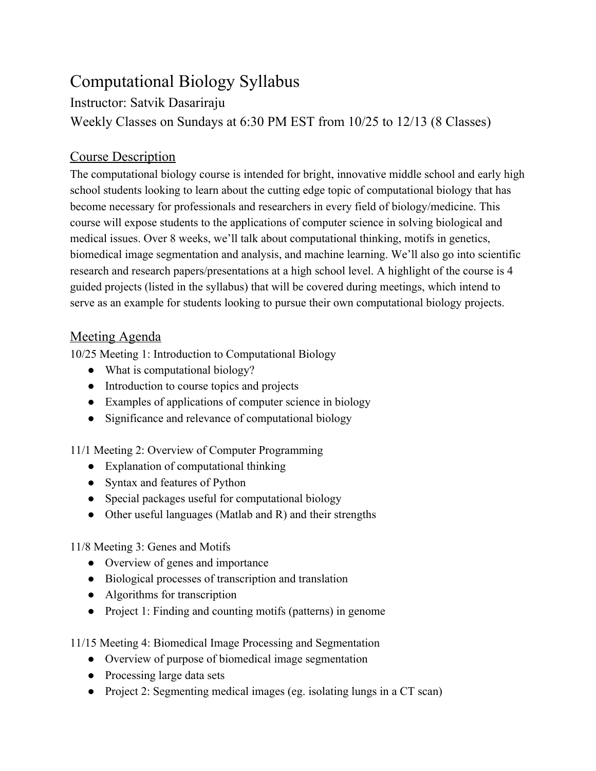## Computational Biology Syllabus

Instructor: Satvik Dasariraju

Weekly Classes on Sundays at 6:30 PM EST from 10/25 to 12/13 (8 Classes)

## Course Description

The computational biology course is intended for bright, innovative middle school and early high school students looking to learn about the cutting edge topic of computational biology that has become necessary for professionals and researchers in every field of biology/medicine. This course will expose students to the applications of computer science in solving biological and medical issues. Over 8 weeks, we'll talk about computational thinking, motifs in genetics, biomedical image segmentation and analysis, and machine learning. We'll also go into scientific research and research papers/presentations at a high school level. A highlight of the course is 4 guided projects (listed in the syllabus) that will be covered during meetings, which intend to serve as an example for students looking to pursue their own computational biology projects.

## Meeting Agenda

10/25 Meeting 1: Introduction to Computational Biology

- What is computational biology?
- Introduction to course topics and projects
- Examples of applications of computer science in biology
- Significance and relevance of computational biology

11/1 Meeting 2: Overview of Computer Programming

- Explanation of computational thinking
- Syntax and features of Python
- Special packages useful for computational biology
- Other useful languages (Matlab and R) and their strengths

11/8 Meeting 3: Genes and Motifs

- Overview of genes and importance
- Biological processes of transcription and translation
- Algorithms for transcription
- Project 1: Finding and counting motifs (patterns) in genome

11/15 Meeting 4: Biomedical Image Processing and Segmentation

- Overview of purpose of biomedical image segmentation
- Processing large data sets
- Project 2: Segmenting medical images (eg. isolating lungs in a CT scan)